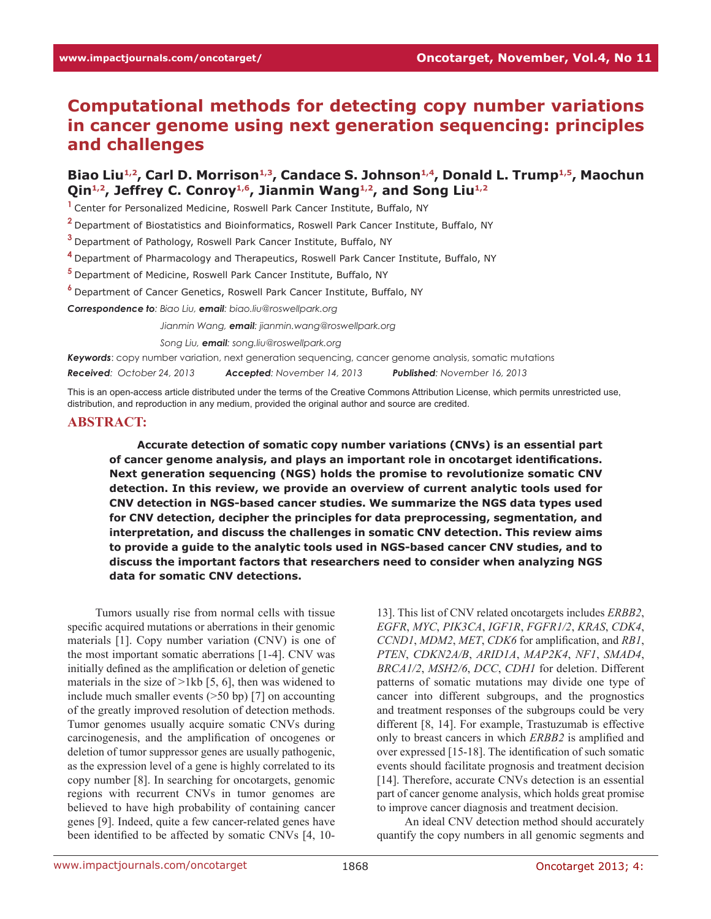# **Computational methods for detecting copy number variations in cancer genome using next generation sequencing: principles and challenges**

# Biao Liu<sup>1,2</sup>, Carl D. Morrison<sup>1,3</sup>, Candace S. Johnson<sup>1,4</sup>, Donald L. Trump<sup>1,5</sup>, Maochun Qin<sup>1,2</sup>, Jeffrey C. Conroy<sup>1,6</sup>, Jianmin Wang<sup>1,2</sup>, and Song Liu<sup>1,2</sup>

**<sup>1</sup>**Center for Personalized Medicine, Roswell Park Cancer Institute, Buffalo, NY

**<sup>2</sup>**Department of Biostatistics and Bioinformatics, Roswell Park Cancer Institute, Buffalo, NY

**<sup>3</sup>**Department of Pathology, Roswell Park Cancer Institute, Buffalo, NY

**<sup>4</sup>**Department of Pharmacology and Therapeutics, Roswell Park Cancer Institute, Buffalo, NY

**<sup>5</sup>**Department of Medicine, Roswell Park Cancer Institute, Buffalo, NY

**<sup>6</sup>**Department of Cancer Genetics, Roswell Park Cancer Institute, Buffalo, NY

*Correspondence to: Biao Liu, email: biao.liu@roswellpark.org*

*Correspondence to: Jianmin Wang, email: jianmin.wang@roswellpark.org*

*Correspondence to: Song Liu, email: song.liu@roswellpark.org*

*Keywords*: copy number variation, next generation sequencing, cancer genome analysis, somatic mutations

*Received: October 24, 2013 Accepted: November 14, 2013 Published: November 16, 2013*

This is an open-access article distributed under the terms of the Creative Commons Attribution License, which permits unrestricted use, distribution, and reproduction in any medium, provided the original author and source are credited.

#### **ABSTRACT:**

**Accurate detection of somatic copy number variations (CNVs) is an essential part of cancer genome analysis, and plays an important role in oncotarget identifications. Next generation sequencing (NGS) holds the promise to revolutionize somatic CNV detection. In this review, we provide an overview of current analytic tools used for CNV detection in NGS-based cancer studies. We summarize the NGS data types used for CNV detection, decipher the principles for data preprocessing, segmentation, and interpretation, and discuss the challenges in somatic CNV detection. This review aims to provide a guide to the analytic tools used in NGS-based cancer CNV studies, and to discuss the important factors that researchers need to consider when analyzing NGS data for somatic CNV detections.** 

Tumors usually rise from normal cells with tissue specific acquired mutations or aberrations in their genomic materials [1]. Copy number variation (CNV) is one of the most important somatic aberrations [1-4]. CNV was initially defined as the amplification or deletion of genetic materials in the size of  $>1kb$  [5, 6], then was widened to include much smaller events  $(>=50$  bp) [7] on accounting of the greatly improved resolution of detection methods. Tumor genomes usually acquire somatic CNVs during carcinogenesis, and the amplification of oncogenes or deletion of tumor suppressor genes are usually pathogenic, as the expression level of a gene is highly correlated to its copy number [8]. In searching for oncotargets, genomic regions with recurrent CNVs in tumor genomes are believed to have high probability of containing cancer genes [9]. Indeed, quite a few cancer-related genes have been identified to be affected by somatic CNVs [4, 1013]. This list of CNV related oncotargets includes *ERBB2*, *EGFR*, *MYC*, *PIK3CA*, *IGF1R*, *FGFR1/2*, *KRAS*, *CDK4*, *CCND1*, *MDM2*, *MET*, *CDK6* for amplification, and *RB1*, *PTEN*, *CDKN2A/B*, *ARID1A*, *MAP2K4*, *NF1*, *SMAD4*, *BRCA1/2*, *MSH2/6*, *DCC*, *CDH1* for deletion. Different patterns of somatic mutations may divide one type of cancer into different subgroups, and the prognostics and treatment responses of the subgroups could be very different [8, 14]. For example, Trastuzumab is effective only to breast cancers in which *ERBB2* is amplified and over expressed [15-18]. The identification of such somatic events should facilitate prognosis and treatment decision [14]. Therefore, accurate CNVs detection is an essential part of cancer genome analysis, which holds great promise to improve cancer diagnosis and treatment decision.

An ideal CNV detection method should accurately quantify the copy numbers in all genomic segments and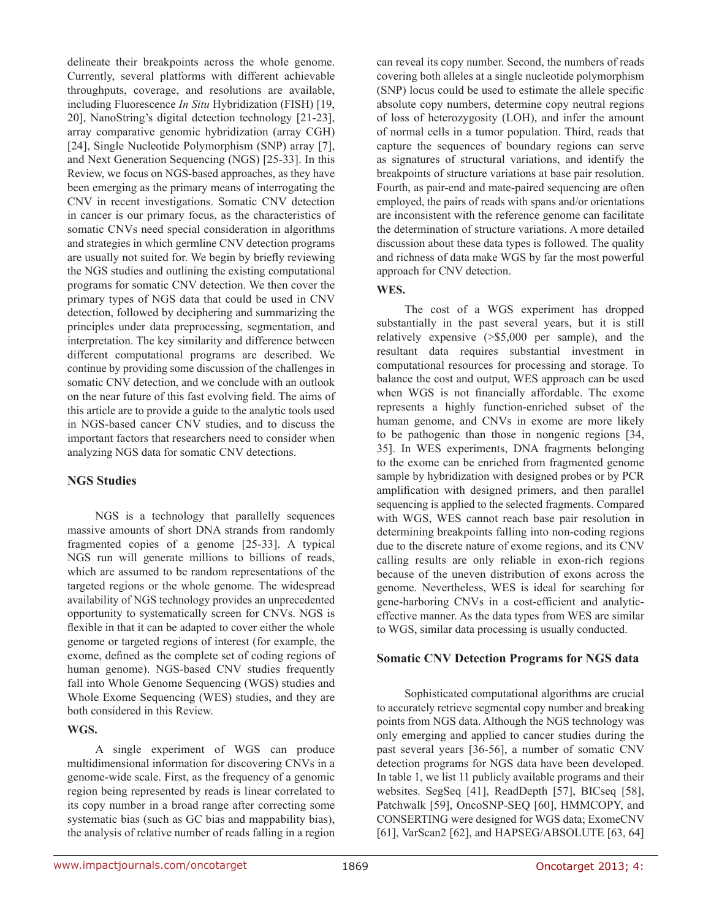delineate their breakpoints across the whole genome. Currently, several platforms with different achievable throughputs, coverage, and resolutions are available, including Fluorescence *In Situ* Hybridization (FISH) [19, 20], NanoString's digital detection technology [21-23], array comparative genomic hybridization (array CGH) [24], Single Nucleotide Polymorphism (SNP) array [7], and Next Generation Sequencing (NGS) [25-33]. In this Review, we focus on NGS-based approaches, as they have been emerging as the primary means of interrogating the CNV in recent investigations. Somatic CNV detection in cancer is our primary focus, as the characteristics of somatic CNVs need special consideration in algorithms and strategies in which germline CNV detection programs are usually not suited for. We begin by briefly reviewing the NGS studies and outlining the existing computational programs for somatic CNV detection. We then cover the primary types of NGS data that could be used in CNV detection, followed by deciphering and summarizing the principles under data preprocessing, segmentation, and interpretation. The key similarity and difference between different computational programs are described. We continue by providing some discussion of the challenges in somatic CNV detection, and we conclude with an outlook on the near future of this fast evolving field. The aims of this article are to provide a guide to the analytic tools used in NGS-based cancer CNV studies, and to discuss the important factors that researchers need to consider when analyzing NGS data for somatic CNV detections.

# **NGS Studies**

NGS is a technology that parallelly sequences massive amounts of short DNA strands from randomly fragmented copies of a genome [25-33]. A typical NGS run will generate millions to billions of reads, which are assumed to be random representations of the targeted regions or the whole genome. The widespread availability of NGS technology provides an unprecedented opportunity to systematically screen for CNVs. NGS is flexible in that it can be adapted to cover either the whole genome or targeted regions of interest (for example, the exome, defined as the complete set of coding regions of human genome). NGS-based CNV studies frequently fall into Whole Genome Sequencing (WGS) studies and Whole Exome Sequencing (WES) studies, and they are both considered in this Review.

# **WGS.**

A single experiment of WGS can produce multidimensional information for discovering CNVs in a genome-wide scale. First, as the frequency of a genomic region being represented by reads is linear correlated to its copy number in a broad range after correcting some systematic bias (such as GC bias and mappability bias), the analysis of relative number of reads falling in a region can reveal its copy number. Second, the numbers of reads covering both alleles at a single nucleotide polymorphism (SNP) locus could be used to estimate the allele specific absolute copy numbers, determine copy neutral regions of loss of heterozygosity (LOH), and infer the amount of normal cells in a tumor population. Third, reads that capture the sequences of boundary regions can serve as signatures of structural variations, and identify the breakpoints of structure variations at base pair resolution. Fourth, as pair-end and mate-paired sequencing are often employed, the pairs of reads with spans and/or orientations are inconsistent with the reference genome can facilitate the determination of structure variations. A more detailed discussion about these data types is followed. The quality and richness of data make WGS by far the most powerful approach for CNV detection.

# **WES.**

The cost of a WGS experiment has dropped substantially in the past several years, but it is still relatively expensive (>\$5,000 per sample), and the resultant data requires substantial investment in computational resources for processing and storage. To balance the cost and output, WES approach can be used when WGS is not financially affordable. The exome represents a highly function-enriched subset of the human genome, and CNVs in exome are more likely to be pathogenic than those in nongenic regions [34, 35]. In WES experiments, DNA fragments belonging to the exome can be enriched from fragmented genome sample by hybridization with designed probes or by PCR amplification with designed primers, and then parallel sequencing is applied to the selected fragments. Compared with WGS, WES cannot reach base pair resolution in determining breakpoints falling into non-coding regions due to the discrete nature of exome regions, and its CNV calling results are only reliable in exon-rich regions because of the uneven distribution of exons across the genome. Nevertheless, WES is ideal for searching for gene-harboring CNVs in a cost-efficient and analyticeffective manner. As the data types from WES are similar to WGS, similar data processing is usually conducted.

# **Somatic CNV Detection Programs for NGS data**

Sophisticated computational algorithms are crucial to accurately retrieve segmental copy number and breaking points from NGS data. Although the NGS technology was only emerging and applied to cancer studies during the past several years [36-56], a number of somatic CNV detection programs for NGS data have been developed. In table 1, we list 11 publicly available programs and their websites. SegSeq [41], ReadDepth [57], BICseq [58], Patchwalk [59], OncoSNP-SEQ [60], HMMCOPY, and CONSERTING were designed for WGS data; ExomeCNV [61], VarScan2 [62], and HAPSEG/ABSOLUTE [63, 64]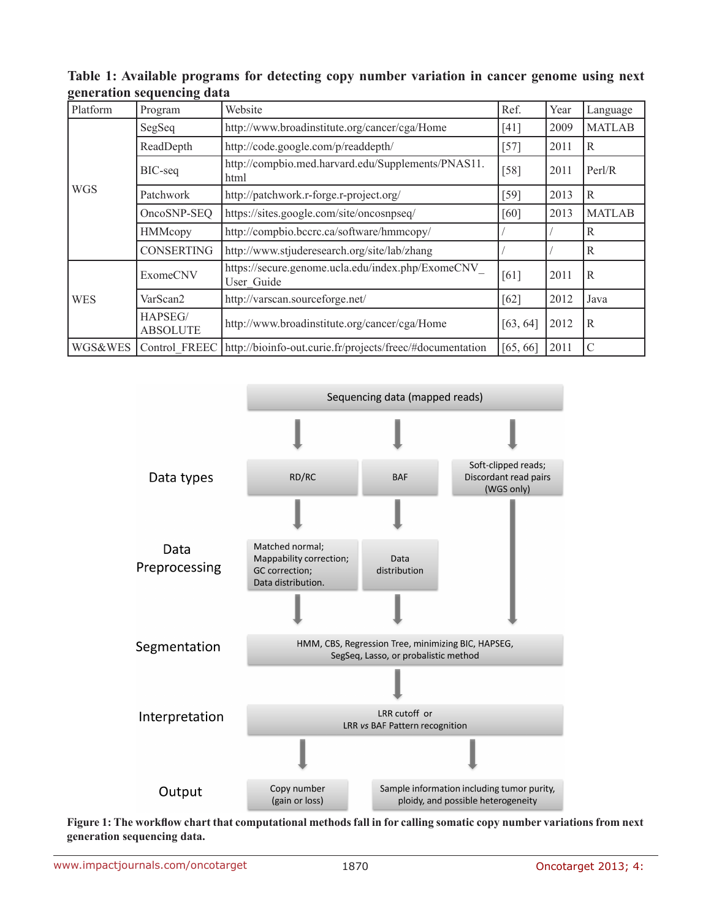| Platform   | Program                    | Website                                                          | Ref.     | Year | Language      |
|------------|----------------------------|------------------------------------------------------------------|----------|------|---------------|
| <b>WGS</b> | SegSeq                     | http://www.broadinstitute.org/cancer/cga/Home                    | [41]     | 2009 | <b>MATLAB</b> |
|            | ReadDepth                  | http://code.google.com/p/readdepth/                              | $[57]$   | 2011 | R             |
|            | BIC-seq                    | http://compbio.med.harvard.edu/Supplements/PNAS11.<br>html       | $[58]$   | 2011 | Perl/R        |
|            | Patchwork                  | http://patchwork.r-forge.r-project.org/                          | [59]     | 2013 | R             |
|            | OncoSNP-SEQ                | https://sites.google.com/site/oncosnpseq/                        | [60]     | 2013 | <b>MATLAB</b> |
|            | <b>HMMcopy</b>             | http://compbio.bccrc.ca/software/hmmcopy/                        |          |      | R             |
|            | <b>CONSERTING</b>          | http://www.stjuderesearch.org/site/lab/zhang                     |          |      | R             |
| <b>WES</b> | <b>ExomeCNV</b>            | https://secure.genome.ucla.edu/index.php/ExomeCNV_<br>User Guide | [61]     | 2011 | R             |
|            | VarScan2                   | http://varscan.sourceforge.net/                                  | [62]     | 2012 | Java          |
|            | HAPSEG/<br><b>ABSOLUTE</b> | http://www.broadinstitute.org/cancer/cga/Home                    | [63, 64] | 2012 | R             |
| WGS&WES    | Control FREEC              | http://bioinfo-out.curie.fr/projects/freec/#documentation        | [65, 66] | 2011 | C             |

**Table 1: Available programs for detecting copy number variation in cancer genome using next generation sequencing data**



**Figure 1: The workflow chart that computational methods fall in for calling somatic copy number variations from next generation sequencing data.**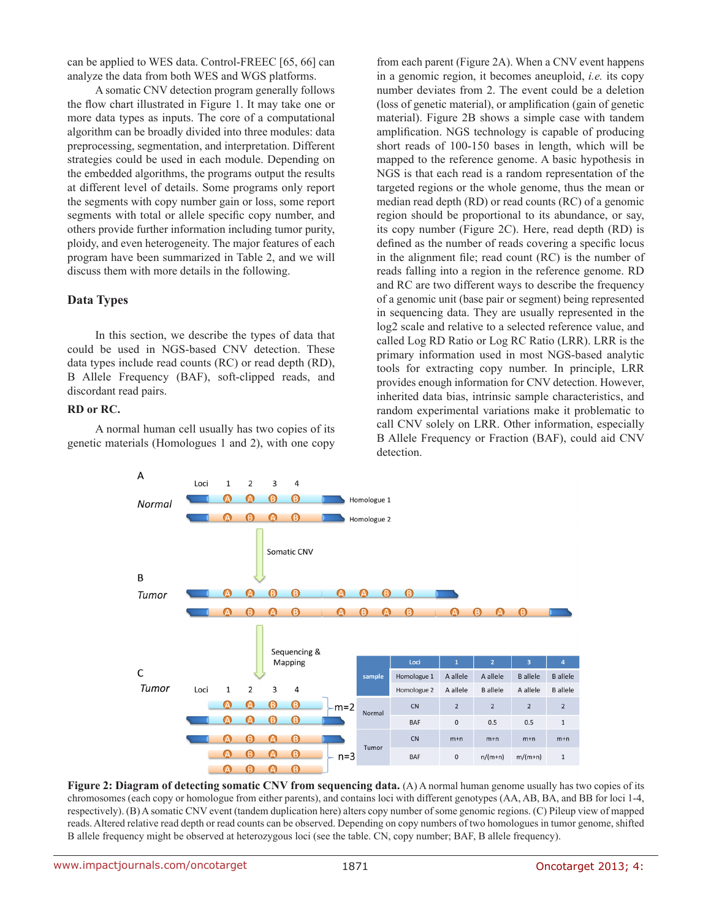can be applied to WES data. Control-FREEC [65, 66] can analyze the data from both WES and WGS platforms.

A somatic CNV detection program generally follows the flow chart illustrated in Figure 1. It may take one or more data types as inputs. The core of a computational algorithm can be broadly divided into three modules: data preprocessing, segmentation, and interpretation. Different strategies could be used in each module. Depending on the embedded algorithms, the programs output the results at different level of details. Some programs only report the segments with copy number gain or loss, some report segments with total or allele specific copy number, and others provide further information including tumor purity, ploidy, and even heterogeneity. The major features of each program have been summarized in Table 2, and we will discuss them with more details in the following.

# **Data Types**

In this section, we describe the types of data that could be used in NGS-based CNV detection. These data types include read counts (RC) or read depth (RD), B Allele Frequency (BAF), soft-clipped reads, and discordant read pairs.

#### **RD or RC.**

A normal human cell usually has two copies of its genetic materials (Homologues 1 and 2), with one copy from each parent (Figure 2A). When a CNV event happens in a genomic region, it becomes aneuploid, *i.e.* its copy number deviates from 2. The event could be a deletion (loss of genetic material), or amplification (gain of genetic material). Figure 2B shows a simple case with tandem amplification. NGS technology is capable of producing short reads of 100-150 bases in length, which will be mapped to the reference genome. A basic hypothesis in NGS is that each read is a random representation of the targeted regions or the whole genome, thus the mean or median read depth (RD) or read counts (RC) of a genomic region should be proportional to its abundance, or say, its copy number (Figure 2C). Here, read depth (RD) is defined as the number of reads covering a specific locus in the alignment file; read count (RC) is the number of reads falling into a region in the reference genome. RD and RC are two different ways to describe the frequency of a genomic unit (base pair or segment) being represented in sequencing data. They are usually represented in the log2 scale and relative to a selected reference value, and called Log RD Ratio or Log RC Ratio (LRR). LRR is the primary information used in most NGS-based analytic tools for extracting copy number. In principle, LRR provides enough information for CNV detection. However, inherited data bias, intrinsic sample characteristics, and random experimental variations make it problematic to call CNV solely on LRR. Other information, especially B Allele Frequency or Fraction (BAF), could aid CNV detection.



**Figure 2: Diagram of detecting somatic CNV from sequencing data.** (A) A normal human genome usually has two copies of its chromosomes (each copy or homologue from either parents), and contains loci with different genotypes (AA, AB, BA, and BB for loci 1-4, respectively). (B) A somatic CNV event (tandem duplication here) alters copy number of some genomic regions. (C) Pileup view of mapped reads. Altered relative read depth or read counts can be observed. Depending on copy numbers of two homologues in tumor genome, shifted B allele frequency might be observed at heterozygous loci (see the table. CN, copy number; BAF, B allele frequency).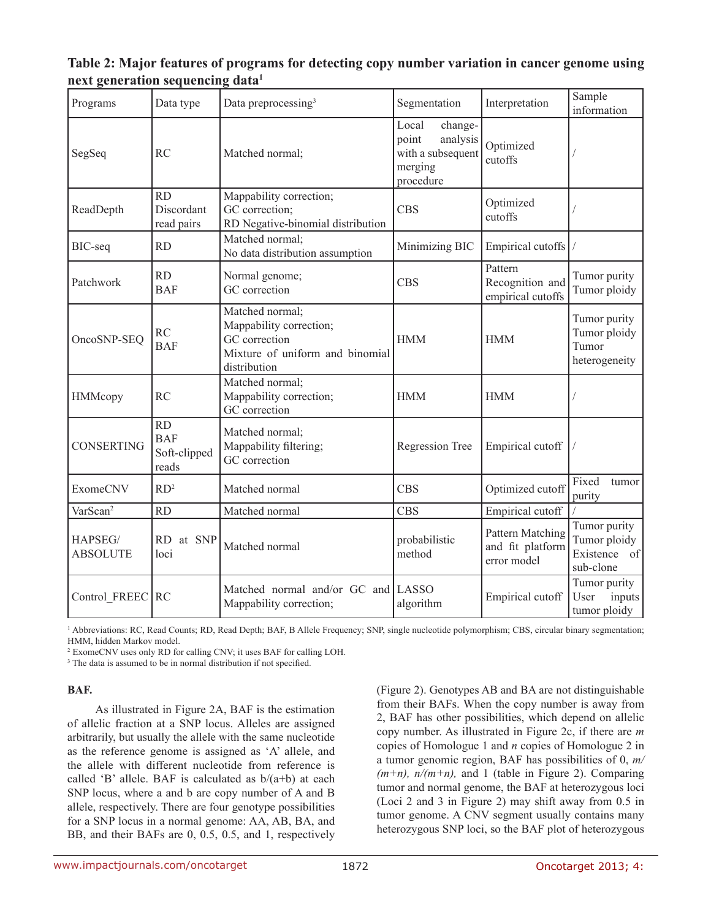| Table 2: Major features of programs for detecting copy number variation in cancer genome using |  |  |  |
|------------------------------------------------------------------------------------------------|--|--|--|
| next generation sequencing data <sup>1</sup>                                                   |  |  |  |

| Programs                   | Data type                                 | Data preprocessing <sup>3</sup>                                                                                | Segmentation                                                                       | Interpretation                                             | Sample<br>information                                     |
|----------------------------|-------------------------------------------|----------------------------------------------------------------------------------------------------------------|------------------------------------------------------------------------------------|------------------------------------------------------------|-----------------------------------------------------------|
| SegSeq                     | <b>RC</b>                                 | Matched normal;                                                                                                | Local<br>change-<br>analysis<br>point<br>with a subsequent<br>merging<br>procedure | Optimized<br>cutoffs                                       |                                                           |
| ReadDepth                  | <b>RD</b><br>Discordant<br>read pairs     | Mappability correction;<br>GC correction;<br>RD Negative-binomial distribution                                 | <b>CBS</b>                                                                         | Optimized<br>cutoffs                                       |                                                           |
| BIC-seq                    | <b>RD</b>                                 | Matched normal;<br>No data distribution assumption                                                             | Minimizing BIC                                                                     | Empirical cutoffs                                          |                                                           |
| Patchwork                  | <b>RD</b><br><b>BAF</b>                   | Normal genome;<br>GC correction                                                                                | <b>CBS</b>                                                                         | Pattern<br>Recognition and<br>empirical cutoffs            | Tumor purity<br>Tumor ploidy                              |
| OncoSNP-SEQ                | <b>RC</b><br><b>BAF</b>                   | Matched normal;<br>Mappability correction;<br>GC correction<br>Mixture of uniform and binomial<br>distribution | <b>HMM</b>                                                                         | <b>HMM</b>                                                 | Tumor purity<br>Tumor ploidy<br>Tumor<br>heterogeneity    |
| HMMcopy                    | <b>RC</b>                                 | Matched normal;<br>Mappability correction;<br>GC correction                                                    | <b>HMM</b>                                                                         | <b>HMM</b>                                                 |                                                           |
| <b>CONSERTING</b>          | RD<br><b>BAF</b><br>Soft-clipped<br>reads | Matched normal;<br>Mappability filtering;<br>GC correction                                                     | <b>Regression Tree</b>                                                             | Empirical cutoff                                           |                                                           |
| <b>ExomeCNV</b>            | RD <sup>2</sup>                           | Matched normal                                                                                                 | <b>CBS</b>                                                                         | Optimized cutoff                                           | Fixed<br>tumor<br>purity                                  |
| VarScan <sup>2</sup>       | <b>RD</b>                                 | Matched normal                                                                                                 | <b>CBS</b>                                                                         | Empirical cutoff                                           |                                                           |
| HAPSEG/<br><b>ABSOLUTE</b> | RD at SNP<br>loci                         | Matched normal                                                                                                 | probabilistic<br>method                                                            | <b>Pattern Matching</b><br>and fit platform<br>error model | Tumor purity<br>Tumor ploidy<br>Existence of<br>sub-clone |
| Control FREEC              | <b>RC</b>                                 | Matched normal and/or GC and LASSO<br>Mappability correction;                                                  | algorithm                                                                          | Empirical cutoff                                           | Tumor purity<br>inputs<br>User<br>tumor ploidy            |

<sup>1</sup> Abbreviations: RC, Read Counts; RD, Read Depth; BAF, B Allele Frequency; SNP, single nucleotide polymorphism; CBS, circular binary segmentation; HMM, hidden Markov model.

2 ExomeCNV uses only RD for calling CNV; it uses BAF for calling LOH.

<sup>3</sup> The data is assumed to be in normal distribution if not specified.

# **BAF.**

As illustrated in Figure 2A, BAF is the estimation of allelic fraction at a SNP locus. Alleles are assigned arbitrarily, but usually the allele with the same nucleotide as the reference genome is assigned as 'A' allele, and the allele with different nucleotide from reference is called 'B' allele. BAF is calculated as  $b/(a+b)$  at each SNP locus, where a and b are copy number of A and B allele, respectively. There are four genotype possibilities for a SNP locus in a normal genome: AA, AB, BA, and BB, and their BAFs are 0, 0.5, 0.5, and 1, respectively (Figure 2). Genotypes AB and BA are not distinguishable from their BAFs. When the copy number is away from 2, BAF has other possibilities, which depend on allelic copy number. As illustrated in Figure 2c, if there are *m* copies of Homologue 1 and *n* copies of Homologue 2 in a tumor genomic region, BAF has possibilities of 0, *m/*  $(m+n)$ ,  $n/(m+n)$ , and 1 (table in Figure 2). Comparing tumor and normal genome, the BAF at heterozygous loci (Loci 2 and 3 in Figure 2) may shift away from 0.5 in tumor genome. A CNV segment usually contains many heterozygous SNP loci, so the BAF plot of heterozygous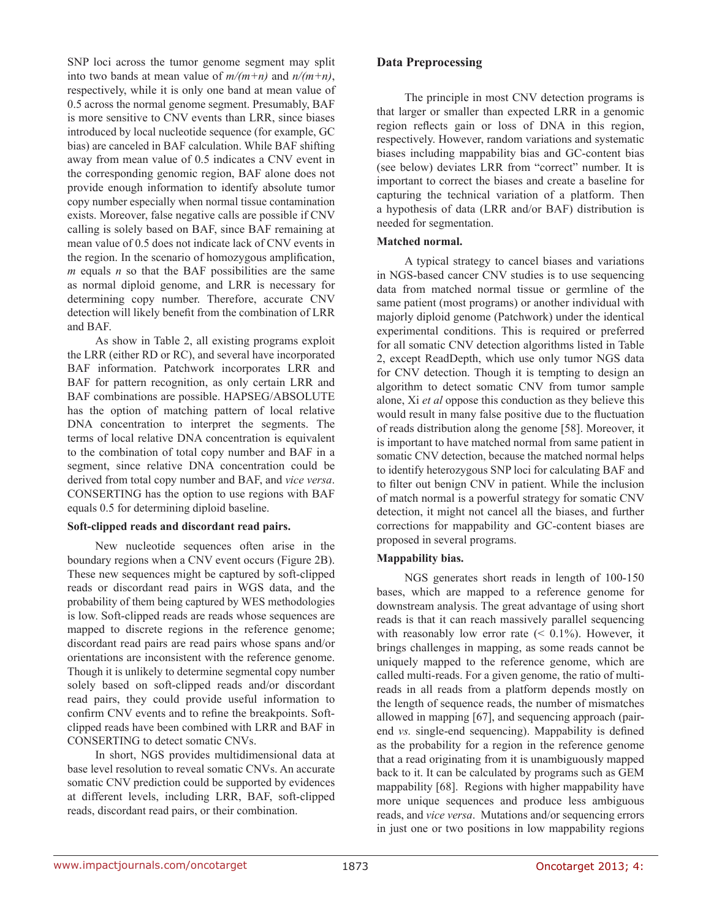SNP loci across the tumor genome segment may split into two bands at mean value of  $m/(m+n)$  and  $n/(m+n)$ , respectively, while it is only one band at mean value of 0.5 across the normal genome segment. Presumably, BAF is more sensitive to CNV events than LRR, since biases introduced by local nucleotide sequence (for example, GC bias) are canceled in BAF calculation. While BAF shifting away from mean value of 0.5 indicates a CNV event in the corresponding genomic region, BAF alone does not provide enough information to identify absolute tumor copy number especially when normal tissue contamination exists. Moreover, false negative calls are possible if CNV calling is solely based on BAF, since BAF remaining at mean value of 0.5 does not indicate lack of CNV events in the region. In the scenario of homozygous amplification, *m* equals *n* so that the BAF possibilities are the same as normal diploid genome, and LRR is necessary for determining copy number. Therefore, accurate CNV detection will likely benefit from the combination of LRR and BAF.

As show in Table 2, all existing programs exploit the LRR (either RD or RC), and several have incorporated BAF information. Patchwork incorporates LRR and BAF for pattern recognition, as only certain LRR and BAF combinations are possible. HAPSEG/ABSOLUTE has the option of matching pattern of local relative DNA concentration to interpret the segments. The terms of local relative DNA concentration is equivalent to the combination of total copy number and BAF in a segment, since relative DNA concentration could be derived from total copy number and BAF, and *vice versa*. CONSERTING has the option to use regions with BAF equals 0.5 for determining diploid baseline.

#### **Soft-clipped reads and discordant read pairs.**

New nucleotide sequences often arise in the boundary regions when a CNV event occurs (Figure 2B). These new sequences might be captured by soft-clipped reads or discordant read pairs in WGS data, and the probability of them being captured by WES methodologies is low. Soft-clipped reads are reads whose sequences are mapped to discrete regions in the reference genome; discordant read pairs are read pairs whose spans and/or orientations are inconsistent with the reference genome. Though it is unlikely to determine segmental copy number solely based on soft-clipped reads and/or discordant read pairs, they could provide useful information to confirm CNV events and to refine the breakpoints. Softclipped reads have been combined with LRR and BAF in CONSERTING to detect somatic CNVs.

In short, NGS provides multidimensional data at base level resolution to reveal somatic CNVs. An accurate somatic CNV prediction could be supported by evidences at different levels, including LRR, BAF, soft-clipped reads, discordant read pairs, or their combination.

# **Data Preprocessing**

The principle in most CNV detection programs is that larger or smaller than expected LRR in a genomic region reflects gain or loss of DNA in this region, respectively. However, random variations and systematic biases including mappability bias and GC-content bias (see below) deviates LRR from "correct" number. It is important to correct the biases and create a baseline for capturing the technical variation of a platform. Then a hypothesis of data (LRR and/or BAF) distribution is needed for segmentation.

#### **Matched normal.**

A typical strategy to cancel biases and variations in NGS-based cancer CNV studies is to use sequencing data from matched normal tissue or germline of the same patient (most programs) or another individual with majorly diploid genome (Patchwork) under the identical experimental conditions. This is required or preferred for all somatic CNV detection algorithms listed in Table 2, except ReadDepth, which use only tumor NGS data for CNV detection. Though it is tempting to design an algorithm to detect somatic CNV from tumor sample alone, Xi *et al* oppose this conduction as they believe this would result in many false positive due to the fluctuation of reads distribution along the genome [58]. Moreover, it is important to have matched normal from same patient in somatic CNV detection, because the matched normal helps to identify heterozygous SNP loci for calculating BAF and to filter out benign CNV in patient. While the inclusion of match normal is a powerful strategy for somatic CNV detection, it might not cancel all the biases, and further corrections for mappability and GC-content biases are proposed in several programs.

# **Mappability bias.**

NGS generates short reads in length of 100-150 bases, which are mapped to a reference genome for downstream analysis. The great advantage of using short reads is that it can reach massively parallel sequencing with reasonably low error rate  $( $0.1\%$ )$ . However, it brings challenges in mapping, as some reads cannot be uniquely mapped to the reference genome, which are called multi-reads. For a given genome, the ratio of multireads in all reads from a platform depends mostly on the length of sequence reads, the number of mismatches allowed in mapping [67], and sequencing approach (pairend *vs.* single-end sequencing). Mappability is defined as the probability for a region in the reference genome that a read originating from it is unambiguously mapped back to it. It can be calculated by programs such as GEM mappability [68]. Regions with higher mappability have more unique sequences and produce less ambiguous reads, and *vice versa*. Mutations and/or sequencing errors in just one or two positions in low mappability regions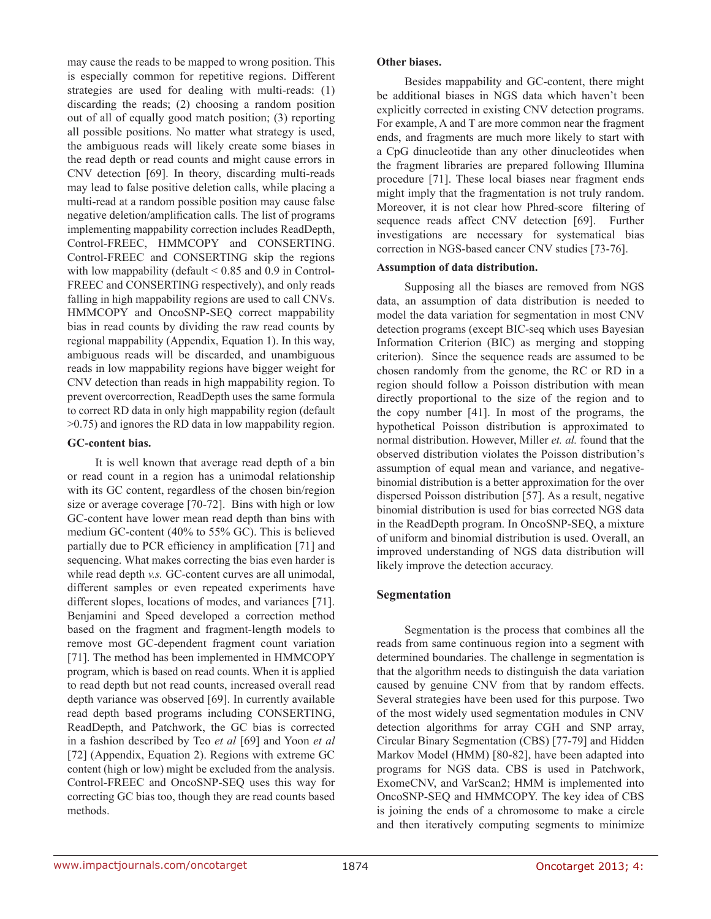may cause the reads to be mapped to wrong position. This is especially common for repetitive regions. Different strategies are used for dealing with multi-reads: (1) discarding the reads; (2) choosing a random position out of all of equally good match position; (3) reporting all possible positions. No matter what strategy is used, the ambiguous reads will likely create some biases in the read depth or read counts and might cause errors in CNV detection [69]. In theory, discarding multi-reads may lead to false positive deletion calls, while placing a multi-read at a random possible position may cause false negative deletion/amplification calls. The list of programs implementing mappability correction includes ReadDepth, Control-FREEC, HMMCOPY and CONSERTING. Control-FREEC and CONSERTING skip the regions with low mappability (default < 0.85 and 0.9 in Control-FREEC and CONSERTING respectively), and only reads falling in high mappability regions are used to call CNVs. HMMCOPY and OncoSNP-SEQ correct mappability bias in read counts by dividing the raw read counts by regional mappability (Appendix, Equation 1). In this way, ambiguous reads will be discarded, and unambiguous reads in low mappability regions have bigger weight for CNV detection than reads in high mappability region. To prevent overcorrection, ReadDepth uses the same formula to correct RD data in only high mappability region (default >0.75) and ignores the RD data in low mappability region.

#### **GC-content bias.**

It is well known that average read depth of a bin or read count in a region has a unimodal relationship with its GC content, regardless of the chosen bin/region size or average coverage [70-72]. Bins with high or low GC-content have lower mean read depth than bins with medium GC-content (40% to 55% GC). This is believed partially due to PCR efficiency in amplification [71] and sequencing. What makes correcting the bias even harder is while read depth *v.s.* GC-content curves are all unimodal, different samples or even repeated experiments have different slopes, locations of modes, and variances [71]. Benjamini and Speed developed a correction method based on the fragment and fragment-length models to remove most GC-dependent fragment count variation [71]. The method has been implemented in HMMCOPY program, which is based on read counts. When it is applied to read depth but not read counts, increased overall read depth variance was observed [69]. In currently available read depth based programs including CONSERTING, ReadDepth, and Patchwork, the GC bias is corrected in a fashion described by Teo *et al* [69] and Yoon *et al* [72] (Appendix, Equation 2). Regions with extreme GC content (high or low) might be excluded from the analysis. Control-FREEC and OncoSNP-SEQ uses this way for correcting GC bias too, though they are read counts based methods.

Besides mappability and GC-content, there might be additional biases in NGS data which haven't been explicitly corrected in existing CNV detection programs. For example, A and T are more common near the fragment ends, and fragments are much more likely to start with a CpG dinucleotide than any other dinucleotides when the fragment libraries are prepared following Illumina procedure [71]. These local biases near fragment ends might imply that the fragmentation is not truly random. Moreover, it is not clear how Phred-score filtering of sequence reads affect CNV detection [69]. Further investigations are necessary for systematical bias correction in NGS-based cancer CNV studies [73-76].

# **Assumption of data distribution.**

Supposing all the biases are removed from NGS data, an assumption of data distribution is needed to model the data variation for segmentation in most CNV detection programs (except BIC-seq which uses Bayesian Information Criterion (BIC) as merging and stopping criterion). Since the sequence reads are assumed to be chosen randomly from the genome, the RC or RD in a region should follow a Poisson distribution with mean directly proportional to the size of the region and to the copy number [41]. In most of the programs, the hypothetical Poisson distribution is approximated to normal distribution. However, Miller *et. al.* found that the observed distribution violates the Poisson distribution's assumption of equal mean and variance, and negativebinomial distribution is a better approximation for the over dispersed Poisson distribution [57]. As a result, negative binomial distribution is used for bias corrected NGS data in the ReadDepth program. In OncoSNP-SEQ, a mixture of uniform and binomial distribution is used. Overall, an improved understanding of NGS data distribution will likely improve the detection accuracy.

# **Segmentation**

Segmentation is the process that combines all the reads from same continuous region into a segment with determined boundaries. The challenge in segmentation is that the algorithm needs to distinguish the data variation caused by genuine CNV from that by random effects. Several strategies have been used for this purpose. Two of the most widely used segmentation modules in CNV detection algorithms for array CGH and SNP array, Circular Binary Segmentation (CBS) [77-79] and Hidden Markov Model (HMM) [80-82], have been adapted into programs for NGS data. CBS is used in Patchwork, ExomeCNV, and VarScan2; HMM is implemented into OncoSNP-SEQ and HMMCOPY. The key idea of CBS is joining the ends of a chromosome to make a circle and then iteratively computing segments to minimize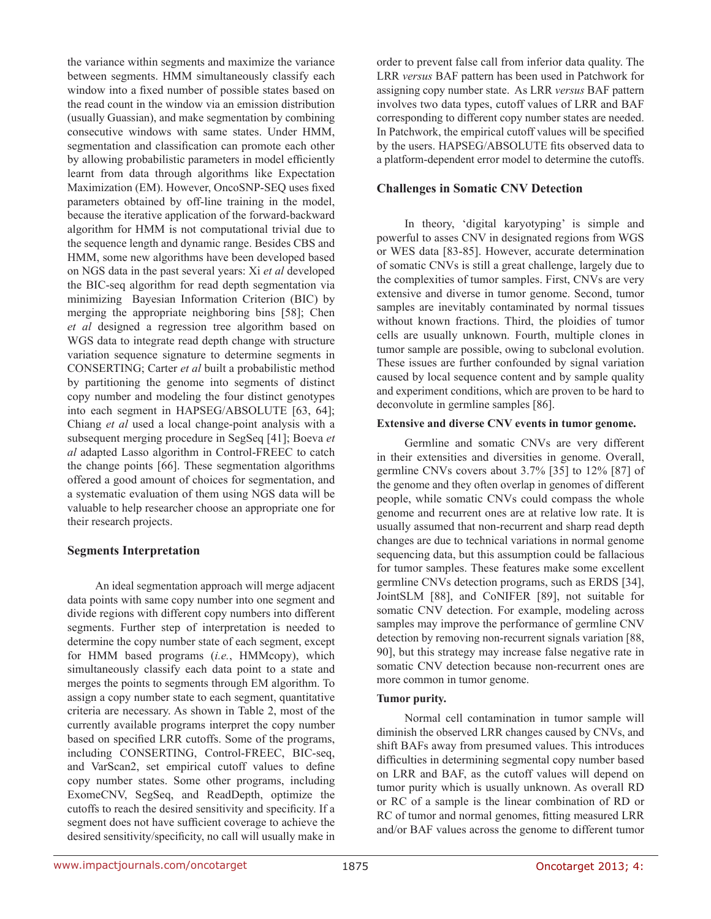the variance within segments and maximize the variance between segments. HMM simultaneously classify each window into a fixed number of possible states based on the read count in the window via an emission distribution (usually Guassian), and make segmentation by combining consecutive windows with same states. Under HMM, segmentation and classification can promote each other by allowing probabilistic parameters in model efficiently learnt from data through algorithms like Expectation Maximization (EM). However, OncoSNP-SEQ uses fixed parameters obtained by off-line training in the model, because the iterative application of the forward-backward algorithm for HMM is not computational trivial due to the sequence length and dynamic range. Besides CBS and HMM, some new algorithms have been developed based on NGS data in the past several years: Xi *et al* developed the BIC-seq algorithm for read depth segmentation via minimizing Bayesian Information Criterion (BIC) by merging the appropriate neighboring bins [58]; Chen *et al* designed a regression tree algorithm based on WGS data to integrate read depth change with structure variation sequence signature to determine segments in CONSERTING; Carter *et al* built a probabilistic method by partitioning the genome into segments of distinct copy number and modeling the four distinct genotypes into each segment in HAPSEG/ABSOLUTE [63, 64]; Chiang *et al* used a local change-point analysis with a subsequent merging procedure in SegSeq [41]; Boeva *et al* adapted Lasso algorithm in Control-FREEC to catch the change points [66]. These segmentation algorithms offered a good amount of choices for segmentation, and a systematic evaluation of them using NGS data will be valuable to help researcher choose an appropriate one for their research projects.

# **Segments Interpretation**

An ideal segmentation approach will merge adjacent data points with same copy number into one segment and divide regions with different copy numbers into different segments. Further step of interpretation is needed to determine the copy number state of each segment, except for HMM based programs (*i.e.*, HMMcopy), which simultaneously classify each data point to a state and merges the points to segments through EM algorithm. To assign a copy number state to each segment, quantitative criteria are necessary. As shown in Table 2, most of the currently available programs interpret the copy number based on specified LRR cutoffs. Some of the programs, including CONSERTING, Control-FREEC, BIC-seq, and VarScan2, set empirical cutoff values to define copy number states. Some other programs, including ExomeCNV, SegSeq, and ReadDepth, optimize the cutoffs to reach the desired sensitivity and specificity. If a segment does not have sufficient coverage to achieve the desired sensitivity/specificity, no call will usually make in

order to prevent false call from inferior data quality. The LRR *versus* BAF pattern has been used in Patchwork for assigning copy number state. As LRR *versus* BAF pattern involves two data types, cutoff values of LRR and BAF corresponding to different copy number states are needed. In Patchwork, the empirical cutoff values will be specified by the users. HAPSEG/ABSOLUTE fits observed data to a platform-dependent error model to determine the cutoffs.

# **Challenges in Somatic CNV Detection**

In theory, 'digital karyotyping' is simple and powerful to asses CNV in designated regions from WGS or WES data [83-85]. However, accurate determination of somatic CNVs is still a great challenge, largely due to the complexities of tumor samples. First, CNVs are very extensive and diverse in tumor genome. Second, tumor samples are inevitably contaminated by normal tissues without known fractions. Third, the ploidies of tumor cells are usually unknown. Fourth, multiple clones in tumor sample are possible, owing to subclonal evolution. These issues are further confounded by signal variation caused by local sequence content and by sample quality and experiment conditions, which are proven to be hard to deconvolute in germline samples [86].

#### **Extensive and diverse CNV events in tumor genome.**

Germline and somatic CNVs are very different in their extensities and diversities in genome. Overall, germline CNVs covers about 3.7% [35] to 12% [87] of the genome and they often overlap in genomes of different people, while somatic CNVs could compass the whole genome and recurrent ones are at relative low rate. It is usually assumed that non-recurrent and sharp read depth changes are due to technical variations in normal genome sequencing data, but this assumption could be fallacious for tumor samples. These features make some excellent germline CNVs detection programs, such as ERDS [34], JointSLM [88], and CoNIFER [89], not suitable for somatic CNV detection. For example, modeling across samples may improve the performance of germline CNV detection by removing non-recurrent signals variation [88, 90], but this strategy may increase false negative rate in somatic CNV detection because non-recurrent ones are more common in tumor genome.

#### **Tumor purity.**

Normal cell contamination in tumor sample will diminish the observed LRR changes caused by CNVs, and shift BAFs away from presumed values. This introduces difficulties in determining segmental copy number based on LRR and BAF, as the cutoff values will depend on tumor purity which is usually unknown. As overall RD or RC of a sample is the linear combination of RD or RC of tumor and normal genomes, fitting measured LRR and/or BAF values across the genome to different tumor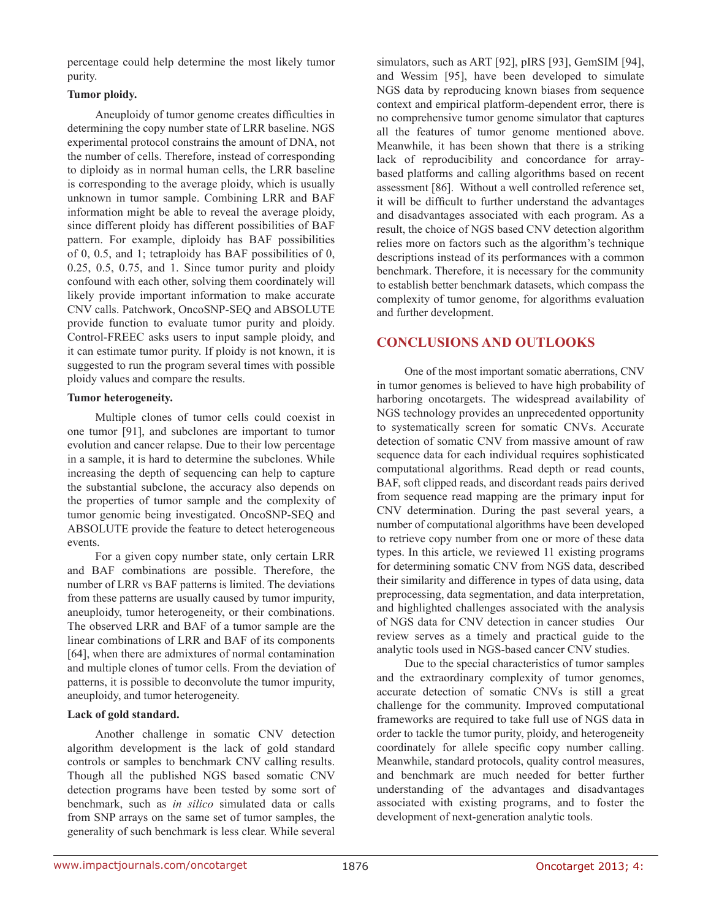percentage could help determine the most likely tumor purity.

#### **Tumor ploidy.**

Aneuploidy of tumor genome creates difficulties in determining the copy number state of LRR baseline. NGS experimental protocol constrains the amount of DNA, not the number of cells. Therefore, instead of corresponding to diploidy as in normal human cells, the LRR baseline is corresponding to the average ploidy, which is usually unknown in tumor sample. Combining LRR and BAF information might be able to reveal the average ploidy, since different ploidy has different possibilities of BAF pattern. For example, diploidy has BAF possibilities of 0, 0.5, and 1; tetraploidy has BAF possibilities of 0, 0.25, 0.5, 0.75, and 1. Since tumor purity and ploidy confound with each other, solving them coordinately will likely provide important information to make accurate CNV calls. Patchwork, OncoSNP-SEQ and ABSOLUTE provide function to evaluate tumor purity and ploidy. Control-FREEC asks users to input sample ploidy, and it can estimate tumor purity. If ploidy is not known, it is suggested to run the program several times with possible ploidy values and compare the results.

#### **Tumor heterogeneity.**

Multiple clones of tumor cells could coexist in one tumor [91], and subclones are important to tumor evolution and cancer relapse. Due to their low percentage in a sample, it is hard to determine the subclones. While increasing the depth of sequencing can help to capture the substantial subclone, the accuracy also depends on the properties of tumor sample and the complexity of tumor genomic being investigated. OncoSNP-SEQ and ABSOLUTE provide the feature to detect heterogeneous events.

For a given copy number state, only certain LRR and BAF combinations are possible. Therefore, the number of LRR vs BAF patterns is limited. The deviations from these patterns are usually caused by tumor impurity, aneuploidy, tumor heterogeneity, or their combinations. The observed LRR and BAF of a tumor sample are the linear combinations of LRR and BAF of its components [64], when there are admixtures of normal contamination and multiple clones of tumor cells. From the deviation of patterns, it is possible to deconvolute the tumor impurity, aneuploidy, and tumor heterogeneity.

#### **Lack of gold standard.**

Another challenge in somatic CNV detection algorithm development is the lack of gold standard controls or samples to benchmark CNV calling results. Though all the published NGS based somatic CNV detection programs have been tested by some sort of benchmark, such as *in silico* simulated data or calls from SNP arrays on the same set of tumor samples, the generality of such benchmark is less clear. While several

simulators, such as ART [92], pIRS [93], GemSIM [94], and Wessim [95], have been developed to simulate NGS data by reproducing known biases from sequence context and empirical platform-dependent error, there is no comprehensive tumor genome simulator that captures all the features of tumor genome mentioned above. Meanwhile, it has been shown that there is a striking lack of reproducibility and concordance for arraybased platforms and calling algorithms based on recent assessment [86]. Without a well controlled reference set, it will be difficult to further understand the advantages and disadvantages associated with each program. As a result, the choice of NGS based CNV detection algorithm relies more on factors such as the algorithm's technique descriptions instead of its performances with a common benchmark. Therefore, it is necessary for the community to establish better benchmark datasets, which compass the complexity of tumor genome, for algorithms evaluation and further development.

# **CONCLUSIONS AND OUTLOOKS**

One of the most important somatic aberrations, CNV in tumor genomes is believed to have high probability of harboring oncotargets. The widespread availability of NGS technology provides an unprecedented opportunity to systematically screen for somatic CNVs. Accurate detection of somatic CNV from massive amount of raw sequence data for each individual requires sophisticated computational algorithms. Read depth or read counts, BAF, soft clipped reads, and discordant reads pairs derived from sequence read mapping are the primary input for CNV determination. During the past several years, a number of computational algorithms have been developed to retrieve copy number from one or more of these data types. In this article, we reviewed 11 existing programs for determining somatic CNV from NGS data, described their similarity and difference in types of data using, data preprocessing, data segmentation, and data interpretation, and highlighted challenges associated with the analysis of NGS data for CNV detection in cancer studies Our review serves as a timely and practical guide to the analytic tools used in NGS-based cancer CNV studies.

Due to the special characteristics of tumor samples and the extraordinary complexity of tumor genomes, accurate detection of somatic CNVs is still a great challenge for the community. Improved computational frameworks are required to take full use of NGS data in order to tackle the tumor purity, ploidy, and heterogeneity coordinately for allele specific copy number calling. Meanwhile, standard protocols, quality control measures, and benchmark are much needed for better further understanding of the advantages and disadvantages associated with existing programs, and to foster the development of next-generation analytic tools.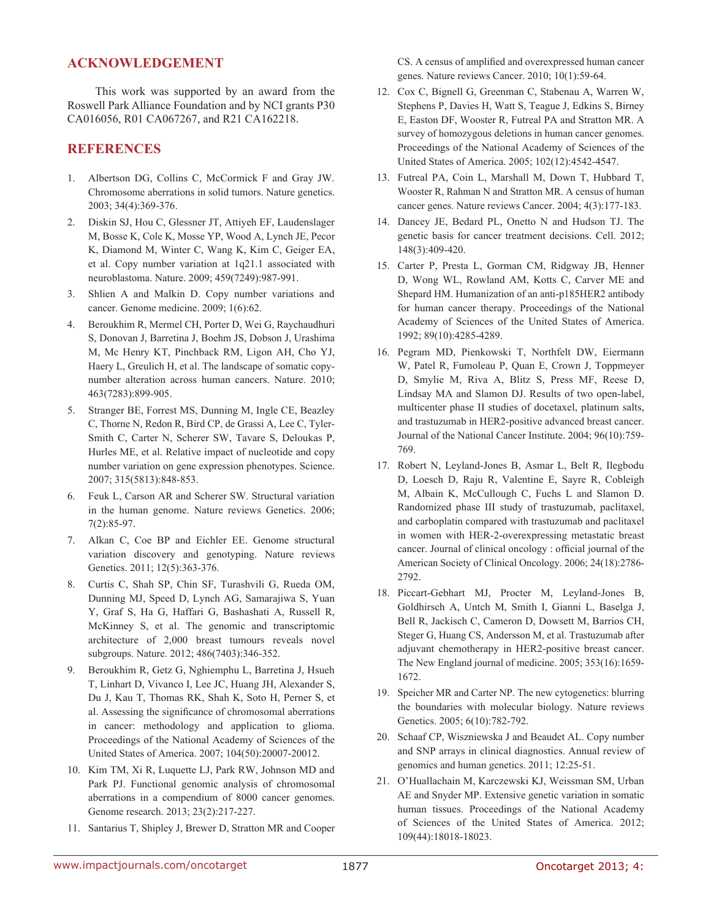# **ACKNOWLEDGEMENT**

This work was supported by an award from the Roswell Park Alliance Foundation and by NCI grants P30 CA016056, R01 CA067267, and R21 CA162218.

# **REFERENCES**

- 1. Albertson DG, Collins C, McCormick F and Gray JW. Chromosome aberrations in solid tumors. Nature genetics. 2003; 34(4):369-376.
- 2. Diskin SJ, Hou C, Glessner JT, Attiyeh EF, Laudenslager M, Bosse K, Cole K, Mosse YP, Wood A, Lynch JE, Pecor K, Diamond M, Winter C, Wang K, Kim C, Geiger EA, et al. Copy number variation at 1q21.1 associated with neuroblastoma. Nature. 2009; 459(7249):987-991.
- 3. Shlien A and Malkin D. Copy number variations and cancer. Genome medicine. 2009; 1(6):62.
- 4. Beroukhim R, Mermel CH, Porter D, Wei G, Raychaudhuri S, Donovan J, Barretina J, Boehm JS, Dobson J, Urashima M, Mc Henry KT, Pinchback RM, Ligon AH, Cho YJ, Haery L, Greulich H, et al. The landscape of somatic copynumber alteration across human cancers. Nature. 2010; 463(7283):899-905.
- 5. Stranger BE, Forrest MS, Dunning M, Ingle CE, Beazley C, Thorne N, Redon R, Bird CP, de Grassi A, Lee C, Tyler-Smith C, Carter N, Scherer SW, Tavare S, Deloukas P, Hurles ME, et al. Relative impact of nucleotide and copy number variation on gene expression phenotypes. Science. 2007; 315(5813):848-853.
- 6. Feuk L, Carson AR and Scherer SW. Structural variation in the human genome. Nature reviews Genetics. 2006; 7(2):85-97.
- 7. Alkan C, Coe BP and Eichler EE. Genome structural variation discovery and genotyping. Nature reviews Genetics. 2011; 12(5):363-376.
- 8. Curtis C, Shah SP, Chin SF, Turashvili G, Rueda OM, Dunning MJ, Speed D, Lynch AG, Samarajiwa S, Yuan Y, Graf S, Ha G, Haffari G, Bashashati A, Russell R, McKinney S, et al. The genomic and transcriptomic architecture of 2,000 breast tumours reveals novel subgroups. Nature. 2012; 486(7403):346-352.
- 9. Beroukhim R, Getz G, Nghiemphu L, Barretina J, Hsueh T, Linhart D, Vivanco I, Lee JC, Huang JH, Alexander S, Du J, Kau T, Thomas RK, Shah K, Soto H, Perner S, et al. Assessing the significance of chromosomal aberrations in cancer: methodology and application to glioma. Proceedings of the National Academy of Sciences of the United States of America. 2007; 104(50):20007-20012.
- 10. Kim TM, Xi R, Luquette LJ, Park RW, Johnson MD and Park PJ. Functional genomic analysis of chromosomal aberrations in a compendium of 8000 cancer genomes. Genome research. 2013; 23(2):217-227.
- 11. Santarius T, Shipley J, Brewer D, Stratton MR and Cooper

CS. A census of amplified and overexpressed human cancer genes. Nature reviews Cancer. 2010; 10(1):59-64.

- 12. Cox C, Bignell G, Greenman C, Stabenau A, Warren W, Stephens P, Davies H, Watt S, Teague J, Edkins S, Birney E, Easton DF, Wooster R, Futreal PA and Stratton MR. A survey of homozygous deletions in human cancer genomes. Proceedings of the National Academy of Sciences of the United States of America. 2005; 102(12):4542-4547.
- 13. Futreal PA, Coin L, Marshall M, Down T, Hubbard T, Wooster R, Rahman N and Stratton MR. A census of human cancer genes. Nature reviews Cancer. 2004; 4(3):177-183.
- 14. Dancey JE, Bedard PL, Onetto N and Hudson TJ. The genetic basis for cancer treatment decisions. Cell. 2012; 148(3):409-420.
- 15. Carter P, Presta L, Gorman CM, Ridgway JB, Henner D, Wong WL, Rowland AM, Kotts C, Carver ME and Shepard HM. Humanization of an anti-p185HER2 antibody for human cancer therapy. Proceedings of the National Academy of Sciences of the United States of America. 1992; 89(10):4285-4289.
- 16. Pegram MD, Pienkowski T, Northfelt DW, Eiermann W, Patel R, Fumoleau P, Quan E, Crown J, Toppmeyer D, Smylie M, Riva A, Blitz S, Press MF, Reese D, Lindsay MA and Slamon DJ. Results of two open-label, multicenter phase II studies of docetaxel, platinum salts, and trastuzumab in HER2-positive advanced breast cancer. Journal of the National Cancer Institute. 2004; 96(10):759- 769.
- 17. Robert N, Leyland-Jones B, Asmar L, Belt R, Ilegbodu D, Loesch D, Raju R, Valentine E, Sayre R, Cobleigh M, Albain K, McCullough C, Fuchs L and Slamon D. Randomized phase III study of trastuzumab, paclitaxel, and carboplatin compared with trastuzumab and paclitaxel in women with HER-2-overexpressing metastatic breast cancer. Journal of clinical oncology : official journal of the American Society of Clinical Oncology. 2006; 24(18):2786- 2792.
- 18. Piccart-Gebhart MJ, Procter M, Leyland-Jones B, Goldhirsch A, Untch M, Smith I, Gianni L, Baselga J, Bell R, Jackisch C, Cameron D, Dowsett M, Barrios CH, Steger G, Huang CS, Andersson M, et al. Trastuzumab after adjuvant chemotherapy in HER2-positive breast cancer. The New England journal of medicine. 2005; 353(16):1659- 1672.
- 19. Speicher MR and Carter NP. The new cytogenetics: blurring the boundaries with molecular biology. Nature reviews Genetics. 2005; 6(10):782-792.
- 20. Schaaf CP, Wiszniewska J and Beaudet AL. Copy number and SNP arrays in clinical diagnostics. Annual review of genomics and human genetics. 2011; 12:25-51.
- 21. O'Huallachain M, Karczewski KJ, Weissman SM, Urban AE and Snyder MP. Extensive genetic variation in somatic human tissues. Proceedings of the National Academy of Sciences of the United States of America. 2012; 109(44):18018-18023.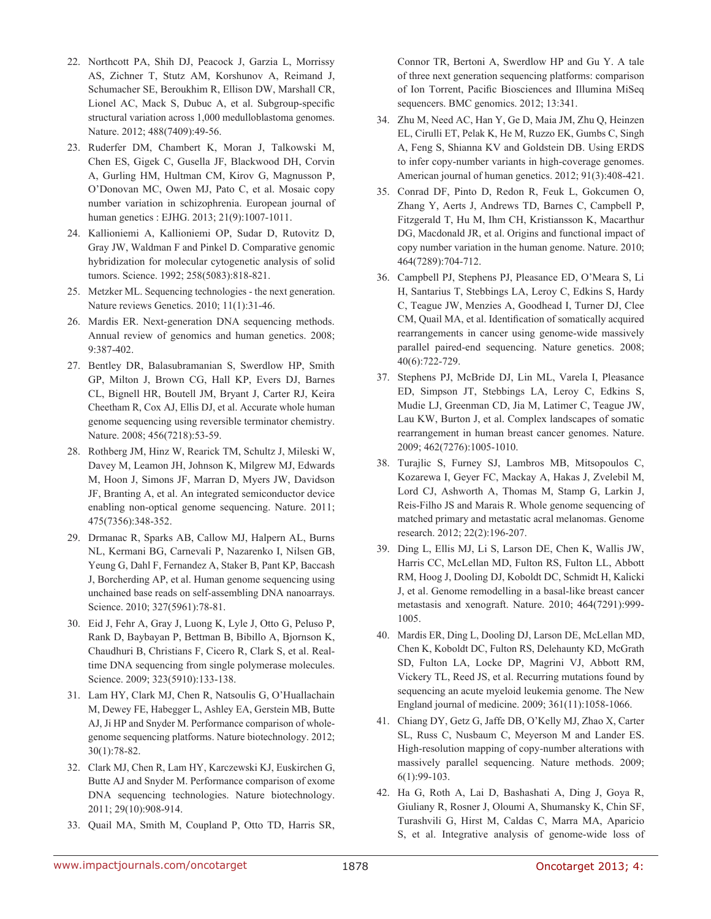- 22. Northcott PA, Shih DJ, Peacock J, Garzia L, Morrissy AS, Zichner T, Stutz AM, Korshunov A, Reimand J, Schumacher SE, Beroukhim R, Ellison DW, Marshall CR, Lionel AC, Mack S, Dubuc A, et al. Subgroup-specific structural variation across 1,000 medulloblastoma genomes. Nature. 2012; 488(7409):49-56.
- 23. Ruderfer DM, Chambert K, Moran J, Talkowski M, Chen ES, Gigek C, Gusella JF, Blackwood DH, Corvin A, Gurling HM, Hultman CM, Kirov G, Magnusson P, O'Donovan MC, Owen MJ, Pato C, et al. Mosaic copy number variation in schizophrenia. European journal of human genetics : EJHG. 2013; 21(9):1007-1011.
- 24. Kallioniemi A, Kallioniemi OP, Sudar D, Rutovitz D, Gray JW, Waldman F and Pinkel D. Comparative genomic hybridization for molecular cytogenetic analysis of solid tumors. Science. 1992; 258(5083):818-821.
- 25. Metzker ML. Sequencing technologies the next generation. Nature reviews Genetics. 2010; 11(1):31-46.
- 26. Mardis ER. Next-generation DNA sequencing methods. Annual review of genomics and human genetics. 2008; 9:387-402.
- 27. Bentley DR, Balasubramanian S, Swerdlow HP, Smith GP, Milton J, Brown CG, Hall KP, Evers DJ, Barnes CL, Bignell HR, Boutell JM, Bryant J, Carter RJ, Keira Cheetham R, Cox AJ, Ellis DJ, et al. Accurate whole human genome sequencing using reversible terminator chemistry. Nature. 2008; 456(7218):53-59.
- 28. Rothberg JM, Hinz W, Rearick TM, Schultz J, Mileski W, Davey M, Leamon JH, Johnson K, Milgrew MJ, Edwards M, Hoon J, Simons JF, Marran D, Myers JW, Davidson JF, Branting A, et al. An integrated semiconductor device enabling non-optical genome sequencing. Nature. 2011; 475(7356):348-352.
- 29. Drmanac R, Sparks AB, Callow MJ, Halpern AL, Burns NL, Kermani BG, Carnevali P, Nazarenko I, Nilsen GB, Yeung G, Dahl F, Fernandez A, Staker B, Pant KP, Baccash J, Borcherding AP, et al. Human genome sequencing using unchained base reads on self-assembling DNA nanoarrays. Science. 2010; 327(5961):78-81.
- 30. Eid J, Fehr A, Gray J, Luong K, Lyle J, Otto G, Peluso P, Rank D, Baybayan P, Bettman B, Bibillo A, Bjornson K, Chaudhuri B, Christians F, Cicero R, Clark S, et al. Realtime DNA sequencing from single polymerase molecules. Science. 2009; 323(5910):133-138.
- 31. Lam HY, Clark MJ, Chen R, Natsoulis G, O'Huallachain M, Dewey FE, Habegger L, Ashley EA, Gerstein MB, Butte AJ, Ji HP and Snyder M. Performance comparison of wholegenome sequencing platforms. Nature biotechnology. 2012; 30(1):78-82.
- 32. Clark MJ, Chen R, Lam HY, Karczewski KJ, Euskirchen G, Butte AJ and Snyder M. Performance comparison of exome DNA sequencing technologies. Nature biotechnology. 2011; 29(10):908-914.
- 33. Quail MA, Smith M, Coupland P, Otto TD, Harris SR,

Connor TR, Bertoni A, Swerdlow HP and Gu Y. A tale of three next generation sequencing platforms: comparison of Ion Torrent, Pacific Biosciences and Illumina MiSeq sequencers. BMC genomics. 2012; 13:341.

- 34. Zhu M, Need AC, Han Y, Ge D, Maia JM, Zhu Q, Heinzen EL, Cirulli ET, Pelak K, He M, Ruzzo EK, Gumbs C, Singh A, Feng S, Shianna KV and Goldstein DB. Using ERDS to infer copy-number variants in high-coverage genomes. American journal of human genetics. 2012; 91(3):408-421.
- 35. Conrad DF, Pinto D, Redon R, Feuk L, Gokcumen O, Zhang Y, Aerts J, Andrews TD, Barnes C, Campbell P, Fitzgerald T, Hu M, Ihm CH, Kristiansson K, Macarthur DG, Macdonald JR, et al. Origins and functional impact of copy number variation in the human genome. Nature. 2010; 464(7289):704-712.
- 36. Campbell PJ, Stephens PJ, Pleasance ED, O'Meara S, Li H, Santarius T, Stebbings LA, Leroy C, Edkins S, Hardy C, Teague JW, Menzies A, Goodhead I, Turner DJ, Clee CM, Quail MA, et al. Identification of somatically acquired rearrangements in cancer using genome-wide massively parallel paired-end sequencing. Nature genetics. 2008; 40(6):722-729.
- 37. Stephens PJ, McBride DJ, Lin ML, Varela I, Pleasance ED, Simpson JT, Stebbings LA, Leroy C, Edkins S, Mudie LJ, Greenman CD, Jia M, Latimer C, Teague JW, Lau KW, Burton J, et al. Complex landscapes of somatic rearrangement in human breast cancer genomes. Nature. 2009; 462(7276):1005-1010.
- 38. Turajlic S, Furney SJ, Lambros MB, Mitsopoulos C, Kozarewa I, Geyer FC, Mackay A, Hakas J, Zvelebil M, Lord CJ, Ashworth A, Thomas M, Stamp G, Larkin J, Reis-Filho JS and Marais R. Whole genome sequencing of matched primary and metastatic acral melanomas. Genome research. 2012; 22(2):196-207.
- 39. Ding L, Ellis MJ, Li S, Larson DE, Chen K, Wallis JW, Harris CC, McLellan MD, Fulton RS, Fulton LL, Abbott RM, Hoog J, Dooling DJ, Koboldt DC, Schmidt H, Kalicki J, et al. Genome remodelling in a basal-like breast cancer metastasis and xenograft. Nature. 2010; 464(7291):999- 1005.
- 40. Mardis ER, Ding L, Dooling DJ, Larson DE, McLellan MD, Chen K, Koboldt DC, Fulton RS, Delehaunty KD, McGrath SD, Fulton LA, Locke DP, Magrini VJ, Abbott RM, Vickery TL, Reed JS, et al. Recurring mutations found by sequencing an acute myeloid leukemia genome. The New England journal of medicine. 2009; 361(11):1058-1066.
- 41. Chiang DY, Getz G, Jaffe DB, O'Kelly MJ, Zhao X, Carter SL, Russ C, Nusbaum C, Meyerson M and Lander ES. High-resolution mapping of copy-number alterations with massively parallel sequencing. Nature methods. 2009; 6(1):99-103.
- 42. Ha G, Roth A, Lai D, Bashashati A, Ding J, Goya R, Giuliany R, Rosner J, Oloumi A, Shumansky K, Chin SF, Turashvili G, Hirst M, Caldas C, Marra MA, Aparicio S, et al. Integrative analysis of genome-wide loss of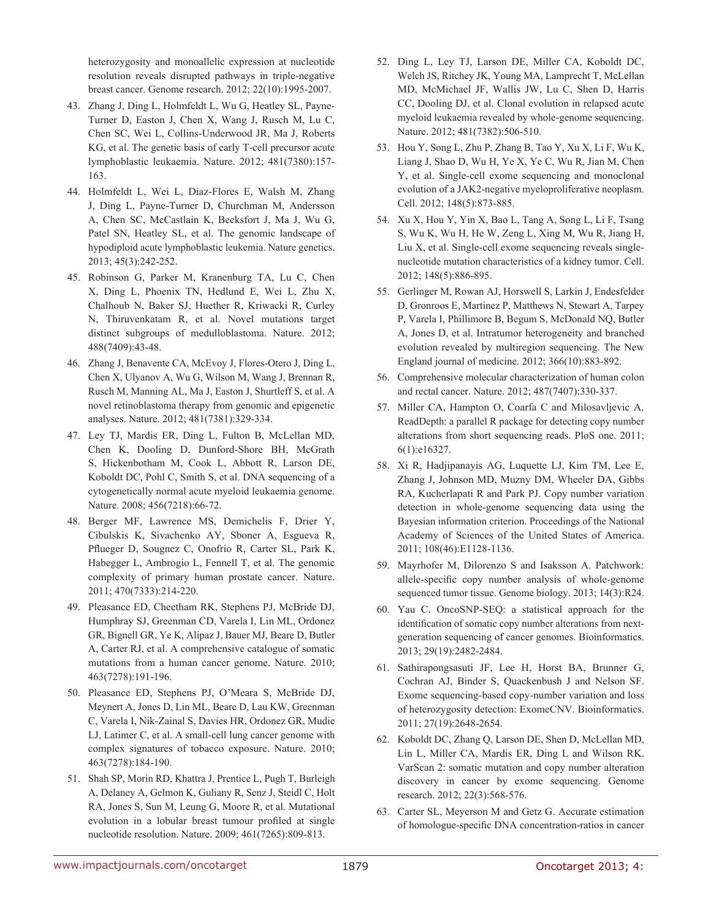heterozygosity and monoallelic expression at nucleotide resolution reveals disrupted pathways in triple-negative breast cancer. Genome research. 2012; 22(10):1995-2007.

- 43. Zhang J, Ding L, Holmfeldt L, Wu G, Heatley SL, Payne-Turner D, Easton J, Chen X, Wang J, Rusch M, Lu C, Chen SC, Wei L, Collins-Underwood JR, Ma J, Roberts KG, et al. The genetic basis of early T-cell precursor acute lymphoblastic leukaemia. Nature. 2012; 481(7380):157- 163.
- 44. Holmfeldt L, Wei L, Diaz-Flores E, Walsh M, Zhang J, Ding L, Payne-Turner D, Churchman M, Andersson A, Chen SC, McCastlain K, Becksfort J, Ma J, Wu G, Patel SN, Heatley SL, et al. The genomic landscape of hypodiploid acute lymphoblastic leukemia. Nature genetics. 2013; 45(3):242-252.
- 45. Robinson G, Parker M, Kranenburg TA, Lu C, Chen X, Ding L, Phoenix TN, Hedlund E, Wei L, Zhu X, Chalhoub N, Baker SJ, Huether R, Kriwacki R, Curley N, Thiruvenkatam R, et al. Novel mutations target distinct subgroups of medulloblastoma. Nature. 2012; 488(7409):43-48.
- 46. Zhang J, Benavente CA, McEvoy J, Flores-Otero J, Ding L, Chen X, Ulyanov A, Wu G, Wilson M, Wang J, Brennan R, Rusch M, Manning AL, Ma J, Easton J, Shurtleff S, et al. A novel retinoblastoma therapy from genomic and epigenetic analyses. Nature. 2012; 481(7381):329-334.
- 47. Ley TJ, Mardis ER, Ding L, Fulton B, McLellan MD, Chen K, Dooling D, Dunford-Shore BH, McGrath S, Hickenbotham M, Cook L, Abbott R, Larson DE, Koboldt DC, Pohl C, Smith S, et al. DNA sequencing of a cytogenetically normal acute myeloid leukaemia genome. Nature. 2008; 456(7218):66-72.
- 48. Berger MF, Lawrence MS, Demichelis F, Drier Y, Cibulskis K, Sivachenko AY, Sboner A, Esgueva R, Pflueger D, Sougnez C, Onofrio R, Carter SL, Park K, Habegger L, Ambrogio L, Fennell T, et al. The genomic complexity of primary human prostate cancer. Nature. 2011; 470(7333):214-220.
- 49. Pleasance ED, Cheetham RK, Stephens PJ, McBride DJ, Humphray SJ, Greenman CD, Varela I, Lin ML, Ordonez GR, Bignell GR, Ye K, Alipaz J, Bauer MJ, Beare D, Butler A, Carter RJ, et al. A comprehensive catalogue of somatic mutations from a human cancer genome. Nature. 2010; 463(7278):191-196.
- 50. Pleasance ED, Stephens PJ, O'Meara S, McBride DJ, Meynert A, Jones D, Lin ML, Beare D, Lau KW, Greenman C, Varela I, Nik-Zainal S, Davies HR, Ordonez GR, Mudie LJ, Latimer C, et al. A small-cell lung cancer genome with complex signatures of tobacco exposure. Nature. 2010; 463(7278):184-190.
- 51. Shah SP, Morin RD, Khattra J, Prentice L, Pugh T, Burleigh A, Delaney A, Gelmon K, Guliany R, Senz J, Steidl C, Holt RA, Jones S, Sun M, Leung G, Moore R, et al. Mutational evolution in a lobular breast tumour profiled at single nucleotide resolution. Nature. 2009; 461(7265):809-813.
- 52. Ding L, Ley TJ, Larson DE, Miller CA, Koboldt DC, Welch JS, Ritchey JK, Young MA, Lamprecht T, McLellan MD, McMichael JF, Wallis JW, Lu C, Shen D, Harris CC, Dooling DJ, et al. Clonal evolution in relapsed acute myeloid leukaemia revealed by whole-genome sequencing. Nature. 2012; 481(7382):506-510.
- 53. Hou Y, Song L, Zhu P, Zhang B, Tao Y, Xu X, Li F, Wu K, Liang J, Shao D, Wu H, Ye X, Ye C, Wu R, Jian M, Chen Y, et al. Single-cell exome sequencing and monoclonal evolution of a JAK2-negative myeloproliferative neoplasm. Cell. 2012; 148(5):873-885.
- 54. Xu X, Hou Y, Yin X, Bao L, Tang A, Song L, Li F, Tsang S, Wu K, Wu H, He W, Zeng L, Xing M, Wu R, Jiang H, Liu X, et al. Single-cell exome sequencing reveals singlenucleotide mutation characteristics of a kidney tumor. Cell. 2012; 148(5):886-895.
- 55. Gerlinger M, Rowan AJ, Horswell S, Larkin J, Endesfelder D, Gronroos E, Martinez P, Matthews N, Stewart A, Tarpey P, Varela I, Phillimore B, Begum S, McDonald NQ, Butler A, Jones D, et al. Intratumor heterogeneity and branched evolution revealed by multiregion sequencing. The New England journal of medicine. 2012; 366(10):883-892.
- 56. Comprehensive molecular characterization of human colon and rectal cancer. Nature. 2012; 487(7407):330-337.
- 57. Miller CA, Hampton O, Coarfa C and Milosavljevic A. ReadDepth: a parallel R package for detecting copy number alterations from short sequencing reads. PloS one. 2011; 6(1):e16327.
- 58. Xi R, Hadjipanayis AG, Luquette LJ, Kim TM, Lee E, Zhang J, Johnson MD, Muzny DM, Wheeler DA, Gibbs RA, Kucherlapati R and Park PJ. Copy number variation detection in whole-genome sequencing data using the Bayesian information criterion. Proceedings of the National Academy of Sciences of the United States of America. 2011; 108(46):E1128-1136.
- 59. Mayrhofer M, Dilorenzo S and Isaksson A. Patchwork: allele-specific copy number analysis of whole-genome sequenced tumor tissue. Genome biology. 2013; 14(3):R24.
- 60. Yau C. OncoSNP-SEQ: a statistical approach for the identification of somatic copy number alterations from nextgeneration sequencing of cancer genomes. Bioinformatics. 2013; 29(19):2482-2484.
- 61. Sathirapongsasuti JF, Lee H, Horst BA, Brunner G, Cochran AJ, Binder S, Quackenbush J and Nelson SF. Exome sequencing-based copy-number variation and loss of heterozygosity detection: ExomeCNV. Bioinformatics. 2011; 27(19):2648-2654.
- 62. Koboldt DC, Zhang Q, Larson DE, Shen D, McLellan MD, Lin L, Miller CA, Mardis ER, Ding L and Wilson RK. VarScan 2: somatic mutation and copy number alteration discovery in cancer by exome sequencing. Genome research. 2012; 22(3):568-576.
- 63. Carter SL, Meyerson M and Getz G. Accurate estimation of homologue-specific DNA concentration-ratios in cancer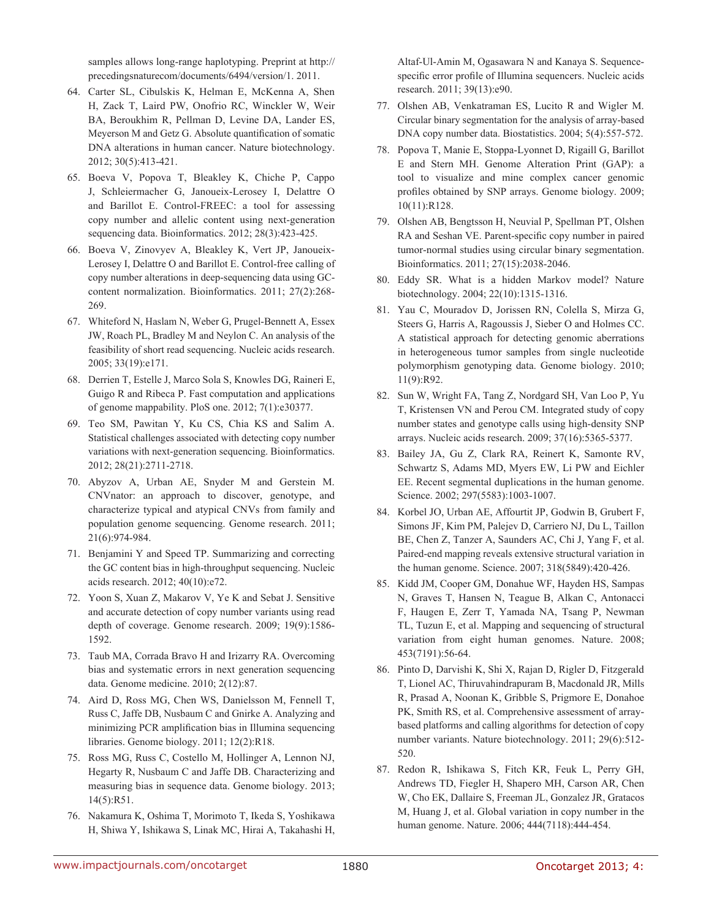samples allows long-range haplotyping. Preprint at http:// precedingsnaturecom/documents/6494/version/1. 2011.

- 64. Carter SL, Cibulskis K, Helman E, McKenna A, Shen H, Zack T, Laird PW, Onofrio RC, Winckler W, Weir BA, Beroukhim R, Pellman D, Levine DA, Lander ES, Meyerson M and Getz G. Absolute quantification of somatic DNA alterations in human cancer. Nature biotechnology. 2012; 30(5):413-421.
- 65. Boeva V, Popova T, Bleakley K, Chiche P, Cappo J, Schleiermacher G, Janoueix-Lerosey I, Delattre O and Barillot E. Control-FREEC: a tool for assessing copy number and allelic content using next-generation sequencing data. Bioinformatics. 2012; 28(3):423-425.
- 66. Boeva V, Zinovyev A, Bleakley K, Vert JP, Janoueix-Lerosey I, Delattre O and Barillot E. Control-free calling of copy number alterations in deep-sequencing data using GCcontent normalization. Bioinformatics. 2011; 27(2):268- 269.
- 67. Whiteford N, Haslam N, Weber G, Prugel-Bennett A, Essex JW, Roach PL, Bradley M and Neylon C. An analysis of the feasibility of short read sequencing. Nucleic acids research. 2005; 33(19):e171.
- 68. Derrien T, Estelle J, Marco Sola S, Knowles DG, Raineri E, Guigo R and Ribeca P. Fast computation and applications of genome mappability. PloS one. 2012; 7(1):e30377.
- 69. Teo SM, Pawitan Y, Ku CS, Chia KS and Salim A. Statistical challenges associated with detecting copy number variations with next-generation sequencing. Bioinformatics. 2012; 28(21):2711-2718.
- 70. Abyzov A, Urban AE, Snyder M and Gerstein M. CNVnator: an approach to discover, genotype, and characterize typical and atypical CNVs from family and population genome sequencing. Genome research. 2011; 21(6):974-984.
- 71. Benjamini Y and Speed TP. Summarizing and correcting the GC content bias in high-throughput sequencing. Nucleic acids research. 2012; 40(10):e72.
- 72. Yoon S, Xuan Z, Makarov V, Ye K and Sebat J. Sensitive and accurate detection of copy number variants using read depth of coverage. Genome research. 2009; 19(9):1586- 1592.
- 73. Taub MA, Corrada Bravo H and Irizarry RA. Overcoming bias and systematic errors in next generation sequencing data. Genome medicine. 2010; 2(12):87.
- 74. Aird D, Ross MG, Chen WS, Danielsson M, Fennell T, Russ C, Jaffe DB, Nusbaum C and Gnirke A. Analyzing and minimizing PCR amplification bias in Illumina sequencing libraries. Genome biology. 2011; 12(2):R18.
- 75. Ross MG, Russ C, Costello M, Hollinger A, Lennon NJ, Hegarty R, Nusbaum C and Jaffe DB. Characterizing and measuring bias in sequence data. Genome biology. 2013; 14(5):R51.
- 76. Nakamura K, Oshima T, Morimoto T, Ikeda S, Yoshikawa H, Shiwa Y, Ishikawa S, Linak MC, Hirai A, Takahashi H,

Altaf-Ul-Amin M, Ogasawara N and Kanaya S. Sequencespecific error profile of Illumina sequencers. Nucleic acids research. 2011; 39(13):e90.

- 77. Olshen AB, Venkatraman ES, Lucito R and Wigler M. Circular binary segmentation for the analysis of array-based DNA copy number data. Biostatistics. 2004; 5(4):557-572.
- 78. Popova T, Manie E, Stoppa-Lyonnet D, Rigaill G, Barillot E and Stern MH. Genome Alteration Print (GAP): a tool to visualize and mine complex cancer genomic profiles obtained by SNP arrays. Genome biology. 2009; 10(11):R128.
- 79. Olshen AB, Bengtsson H, Neuvial P, Spellman PT, Olshen RA and Seshan VE. Parent-specific copy number in paired tumor-normal studies using circular binary segmentation. Bioinformatics. 2011; 27(15):2038-2046.
- 80. Eddy SR. What is a hidden Markov model? Nature biotechnology. 2004; 22(10):1315-1316.
- 81. Yau C, Mouradov D, Jorissen RN, Colella S, Mirza G, Steers G, Harris A, Ragoussis J, Sieber O and Holmes CC. A statistical approach for detecting genomic aberrations in heterogeneous tumor samples from single nucleotide polymorphism genotyping data. Genome biology. 2010; 11(9):R92.
- 82. Sun W, Wright FA, Tang Z, Nordgard SH, Van Loo P, Yu T, Kristensen VN and Perou CM. Integrated study of copy number states and genotype calls using high-density SNP arrays. Nucleic acids research. 2009; 37(16):5365-5377.
- 83. Bailey JA, Gu Z, Clark RA, Reinert K, Samonte RV, Schwartz S, Adams MD, Myers EW, Li PW and Eichler EE. Recent segmental duplications in the human genome. Science. 2002; 297(5583):1003-1007.
- 84. Korbel JO, Urban AE, Affourtit JP, Godwin B, Grubert F, Simons JF, Kim PM, Palejev D, Carriero NJ, Du L, Taillon BE, Chen Z, Tanzer A, Saunders AC, Chi J, Yang F, et al. Paired-end mapping reveals extensive structural variation in the human genome. Science. 2007; 318(5849):420-426.
- 85. Kidd JM, Cooper GM, Donahue WF, Hayden HS, Sampas N, Graves T, Hansen N, Teague B, Alkan C, Antonacci F, Haugen E, Zerr T, Yamada NA, Tsang P, Newman TL, Tuzun E, et al. Mapping and sequencing of structural variation from eight human genomes. Nature. 2008; 453(7191):56-64.
- 86. Pinto D, Darvishi K, Shi X, Rajan D, Rigler D, Fitzgerald T, Lionel AC, Thiruvahindrapuram B, Macdonald JR, Mills R, Prasad A, Noonan K, Gribble S, Prigmore E, Donahoe PK, Smith RS, et al. Comprehensive assessment of arraybased platforms and calling algorithms for detection of copy number variants. Nature biotechnology. 2011; 29(6):512- 520.
- 87. Redon R, Ishikawa S, Fitch KR, Feuk L, Perry GH, Andrews TD, Fiegler H, Shapero MH, Carson AR, Chen W, Cho EK, Dallaire S, Freeman JL, Gonzalez JR, Gratacos M, Huang J, et al. Global variation in copy number in the human genome. Nature. 2006; 444(7118):444-454.